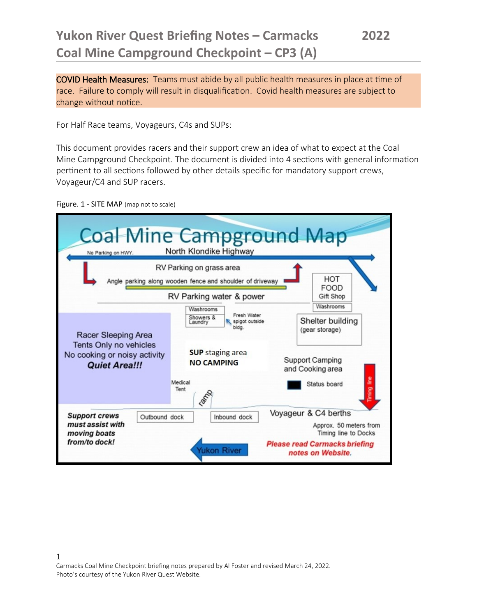COVID Health Measures: Teams must abide by all public health measures in place at time of race. Failure to comply will result in disqualification. Covid health measures are subject to change without notice.

For Half Race teams, Voyageurs, C4s and SUPs:

This document provides racers and their support crew an idea of what to expect at the Coal Mine Campground Checkpoint. The document is divided into 4 sections with general information pertinent to all sections followed by other details specific for mandatory support crews, Voyageur/C4 and SUP racers.

Figure. 1 - SITE MAP (map not to scale)

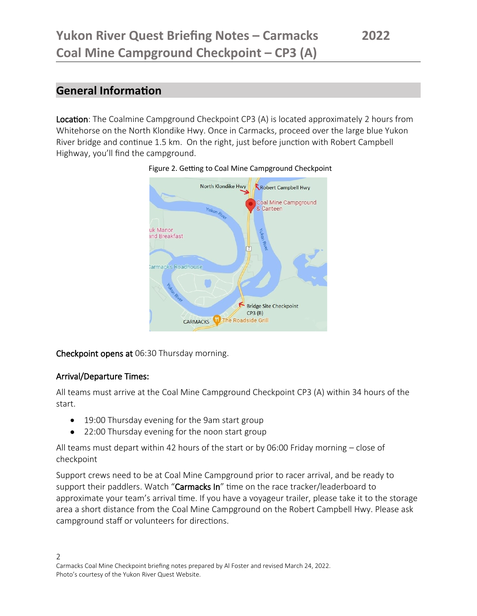### **General Information**

Location: The Coalmine Campground Checkpoint CP3 (A) is located approximately 2 hours from Whitehorse on the North Klondike Hwy. Once in Carmacks, proceed over the large blue Yukon River bridge and continue 1.5 km. On the right, just before junction with Robert Campbell Highway, you'll find the campground.



#### Figure 2. Getting to Coal Mine Campground Checkpoint

Checkpoint opens at 06:30 Thursday morning.

#### Arrival/Departure Times:

All teams must arrive at the Coal Mine Campground Checkpoint CP3 (A) within 34 hours of the start.

- 19:00 Thursday evening for the 9am start group
- 22:00 Thursday evening for the noon start group

All teams must depart within 42 hours of the start or by 06:00 Friday morning – close of checkpoint

Support crews need to be at Coal Mine Campground prior to racer arrival, and be ready to support their paddlers. Watch "Carmacks In" time on the race tracker/leaderboard to approximate your team's arrival time. If you have a voyageur trailer, please take it to the storage area a short distance from the Coal Mine Campground on the Robert Campbell Hwy. Please ask campground staff or volunteers for directions.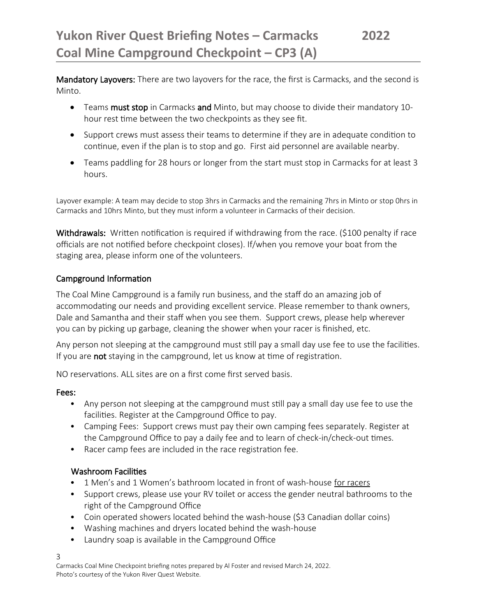Mandatory Layovers: There are two layovers for the race, the first is Carmacks, and the second is Minto.

- Teams must stop in Carmacks and Minto, but may choose to divide their mandatory 10hour rest time between the two checkpoints as they see fit.
- Support crews must assess their teams to determine if they are in adequate condition to continue, even if the plan is to stop and go. First aid personnel are available nearby.
- Teams paddling for 28 hours or longer from the start must stop in Carmacks for at least 3 hours.

Layover example: A team may decide to stop 3hrs in Carmacks and the remaining 7hrs in Minto or stop 0hrs in Carmacks and 10hrs Minto, but they must inform a volunteer in Carmacks of their decision.

Withdrawals: Written notification is required if withdrawing from the race. (\$100 penalty if race officials are not notified before checkpoint closes). If/when you remove your boat from the staging area, please inform one of the volunteers.

#### Campground Information

The Coal Mine Campground is a family run business, and the staff do an amazing job of accommodating our needs and providing excellent service. Please remember to thank owners, Dale and Samantha and their staff when you see them. Support crews, please help wherever you can by picking up garbage, cleaning the shower when your racer is finished, etc.

Any person not sleeping at the campground must still pay a small day use fee to use the facilities. If you are not staying in the campground, let us know at time of registration.

NO reservations. ALL sites are on a first come first served basis.

#### Fees:

- Any person not sleeping at the campground must still pay a small day use fee to use the facilities. Register at the Campground Office to pay.
- Camping Fees: Support crews must pay their own camping fees separately. Register at the Campground Office to pay a daily fee and to learn of check-in/check-out times.
- Racer camp fees are included in the race registration fee.

#### Washroom Facilities

- 1 Men's and 1 Women's bathroom located in front of wash-house for racers
- Support crews, please use your RV toilet or access the gender neutral bathrooms to the right of the Campground Office
- Coin operated showers located behind the wash-house (\$3 Canadian dollar coins)
- Washing machines and dryers located behind the wash-house
- Laundry soap is available in the Campground Office

3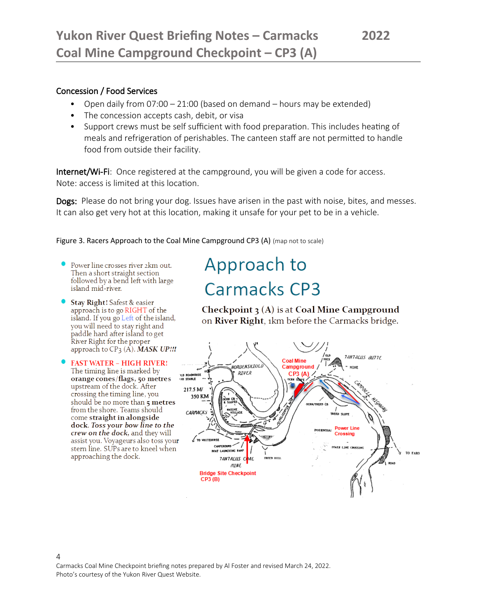#### Concession / Food Services

- Open daily from 07:00 21:00 (based on demand hours may be extended)
- The concession accepts cash, debit, or visa
- Support crews must be self sufficient with food preparation. This includes heating of meals and refrigeration of perishables. The canteen staff are not permitted to handle food from outside their facility.

Internet/Wi-Fi: Once registered at the campground, you will be given a code for access. Note: access is limited at this location.

Dogs: Please do not bring your dog. Issues have arisen in the past with noise, bites, and messes. It can also get very hot at this location, making it unsafe for your pet to be in a vehicle.

#### Figure 3. Racers Approach to the Coal Mine Campground CP3 (A) (map not to scale)

- Power line crosses river 2km out. Then a short straight section followed by a bend left with large island mid-river.
- Stay Right! Safest & easier approach is to go RIGHT of the island. If you go Left of the island, you will need to stay right and paddle hard after island to get River Right for the proper approach to  $CP_3(A)$ . MASK UP!!!
- **FAST WATER HIGH RIVER!** The timing line is marked by orange cones/flags, 50 metres upstream of the dock. After crossing the timing line, you should be no more than 5 metres from the shore. Teams should come straight in alongside dock. Toss your bow line to the crew on the dock, and they will assist you. Voyageurs also toss your stern line. SUPs are to kneel when approaching the dock.

# Approach to Carmacks CP3

Checkpoint  $\chi(A)$  is at Coal Mine Campground on River Right, 1km before the Carmacks bridge.



Carmacks Coal Mine Checkpoint briefing notes prepared by Al Foster and revised March 24, 2022. Photo's courtesy of the Yukon River Quest Website.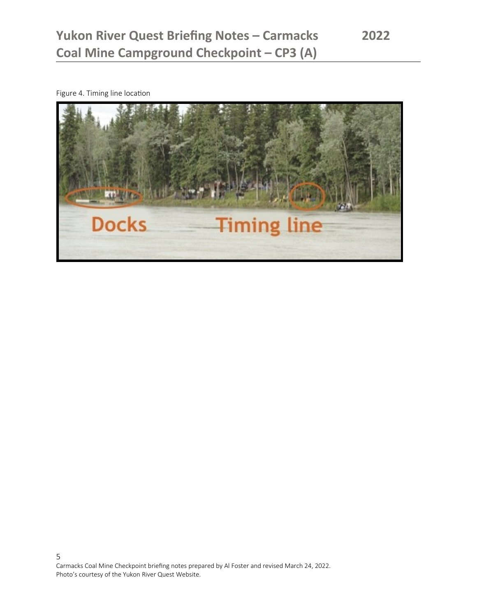Figure 4. Timing line location

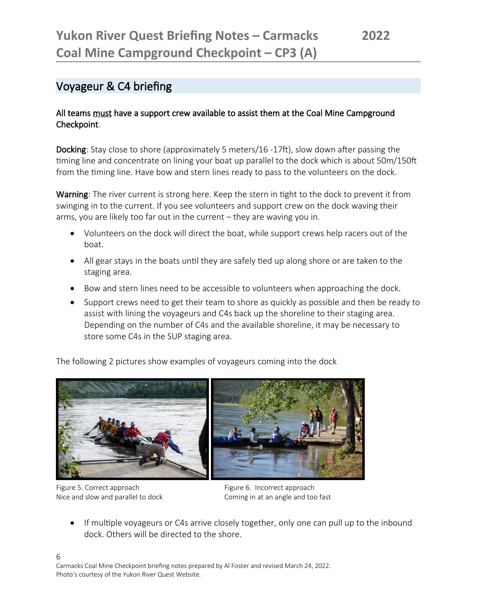### Voyageur & C4 briefing

#### All teams must have a support crew available to assist them at the Coal Mine Campground Checkpoint.

Docking: Stay close to shore (approximately 5 meters/16 -17ft), slow down after passing the timing line and concentrate on lining your boat up parallel to the dock which is about 50m/150ft from the timing line. Have bow and stern lines ready to pass to the volunteers on the dock.

Warning: The river current is strong here. Keep the stern in tight to the dock to prevent it from swinging in to the current. If you see volunteers and support crew on the dock waving their arms, you are likely too far out in the current – they are waving you in.

- Volunteers on the dock will direct the boat, while support crews help racers out of the boat.
- All gear stays in the boats until they are safely tied up along shore or are taken to the staging area.
- Bow and stern lines need to be accessible to volunteers when approaching the dock.
- Support crews need to get their team to shore as quickly as possible and then be ready to assist with lining the voyageurs and C4s back up the shoreline to their staging area. Depending on the number of C4s and the available shoreline, it may be necessary to store some C4s in the SUP staging area.

The following 2 pictures show examples of voyageurs coming into the dock



Figure 5. Correct approach **Figure 6. Incorrect approach** 

Nice and slow and parallel to dock Coming in at an angle and too fast

• If multiple voyageurs or C4s arrive closely together, only one can pull up to the inbound dock. Others will be directed to the shore.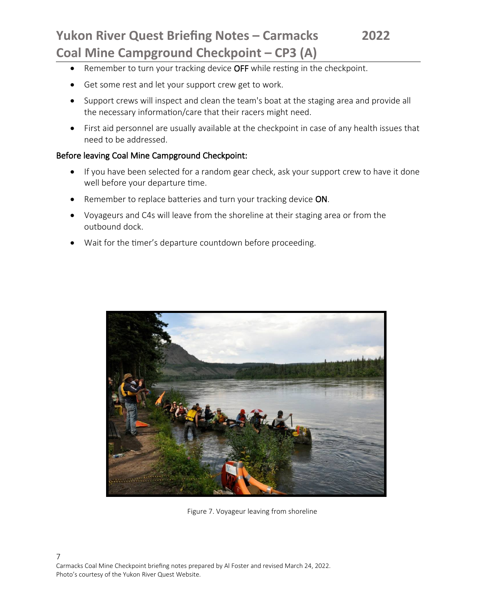- Remember to turn your tracking device OFF while resting in the checkpoint.
- Get some rest and let your support crew get to work.
- Support crews will inspect and clean the team's boat at the staging area and provide all the necessary information/care that their racers might need.
- First aid personnel are usually available at the checkpoint in case of any health issues that need to be addressed.

#### Before leaving Coal Mine Campground Checkpoint:

- If you have been selected for a random gear check, ask your support crew to have it done well before your departure time.
- **•** Remember to replace batteries and turn your tracking device ON.
- Voyageurs and C4s will leave from the shoreline at their staging area or from the outbound dock.
- Wait for the timer's departure countdown before proceeding.



Figure 7. Voyageur leaving from shoreline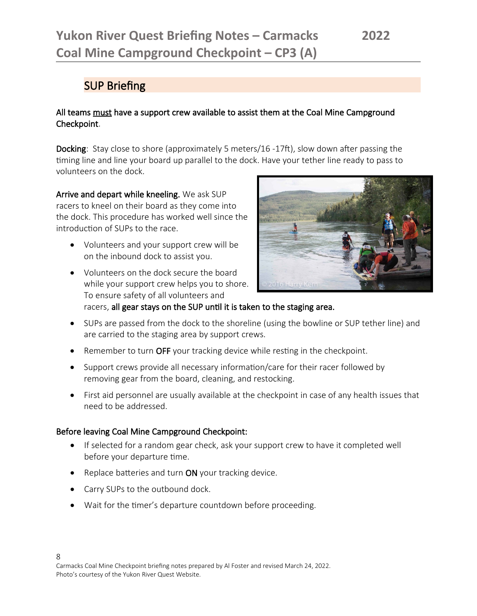### SUP Briefing

#### All teams must have a support crew available to assist them at the Coal Mine Campground Checkpoint.

Docking: Stay close to shore (approximately 5 meters/16 -17ft), slow down after passing the timing line and line your board up parallel to the dock. Have your tether line ready to pass to volunteers on the dock.

Arrive and depart while kneeling. We ask SUP racers to kneel on their board as they come into the dock. This procedure has worked well since the introduction of SUPs to the race.

- Volunteers and your support crew will be on the inbound dock to assist you.
- Volunteers on the dock secure the board while your support crew helps you to shore. To ensure safety of all volunteers and



racers, all gear stays on the SUP until it is taken to the staging area.

- SUPs are passed from the dock to the shoreline (using the bowline or SUP tether line) and are carried to the staging area by support crews.
- Remember to turn OFF your tracking device while resting in the checkpoint.
- Support crews provide all necessary information/care for their racer followed by removing gear from the board, cleaning, and restocking.
- First aid personnel are usually available at the checkpoint in case of any health issues that need to be addressed.

#### Before leaving Coal Mine Campground Checkpoint:

- If selected for a random gear check, ask your support crew to have it completed well before your departure time.
- Replace batteries and turn ON your tracking device.
- Carry SUPs to the outbound dock.
- Wait for the timer's departure countdown before proceeding.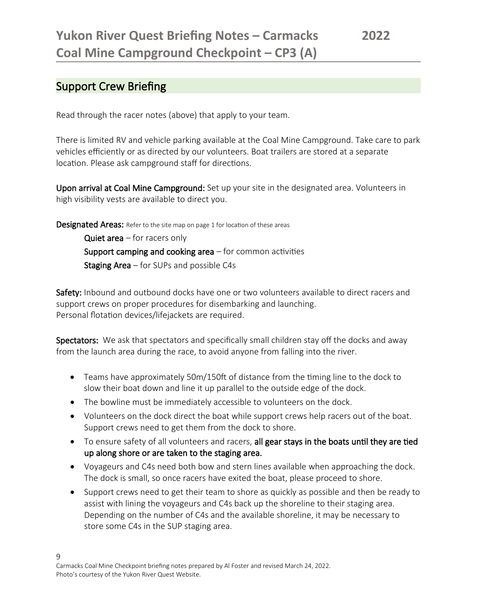### Support Crew Briefing

Read through the racer notes (above) that apply to your team.

There is limited RV and vehicle parking available at the Coal Mine Campground. Take care to park vehicles efficiently or as directed by our volunteers. Boat trailers are stored at a separate location. Please ask campground staff for directions.

Upon arrival at Coal Mine Campground: Set up your site in the designated area. Volunteers in high visibility vests are available to direct you.

**Designated Areas:** Refer to the site map on page 1 for location of these areas

**Quiet area** – for racers only Support camping and cooking area  $-$  for common activities **Staging Area** – for SUPs and possible C4s

Safety: Inbound and outbound docks have one or two volunteers available to direct racers and support crews on proper procedures for disembarking and launching. Personal flotation devices/lifejackets are required.

Spectators: We ask that spectators and specifically small children stay off the docks and away from the launch area during the race, to avoid anyone from falling into the river.

- Teams have approximately 50m/150ft of distance from the timing line to the dock to slow their boat down and line it up parallel to the outside edge of the dock.
- The bowline must be immediately accessible to volunteers on the dock.
- Volunteers on the dock direct the boat while support crews help racers out of the boat. Support crews need to get them from the dock to shore.
- To ensure safety of all volunteers and racers, all gear stays in the boats until they are tied up along shore or are taken to the staging area.
- Voyageurs and C4s need both bow and stern lines available when approaching the dock. The dock is small, so once racers have exited the boat, please proceed to shore.
- Support crews need to get their team to shore as quickly as possible and then be ready to assist with lining the voyageurs and C4s back up the shoreline to their staging area. Depending on the number of C4s and the available shoreline, it may be necessary to store some C4s in the SUP staging area.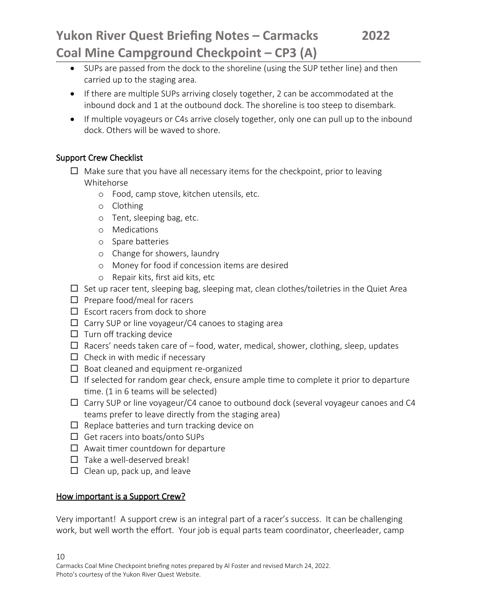- SUPs are passed from the dock to the shoreline (using the SUP tether line) and then carried up to the staging area.
- If there are multiple SUPs arriving closely together, 2 can be accommodated at the inbound dock and 1 at the outbound dock. The shoreline is too steep to disembark.
- If multiple voyageurs or C4s arrive closely together, only one can pull up to the inbound dock. Others will be waved to shore.

#### Support Crew Checklist

- $\Box$  Make sure that you have all necessary items for the checkpoint, prior to leaving Whitehorse
	- o Food, camp stove, kitchen utensils, etc.
	- o Clothing
	- o Tent, sleeping bag, etc.
	- o Medications
	- o Spare batteries
	- o Change for showers, laundry
	- o Money for food if concession items are desired
	- o Repair kits, first aid kits, etc
- $\square$  Set up racer tent, sleeping bag, sleeping mat, clean clothes/toiletries in the Quiet Area
- $\Box$  Prepare food/meal for racers
- $\Box$  Escort racers from dock to shore
- $\Box$  Carry SUP or line voyageur/C4 canoes to staging area
- $\square$  Turn off tracking device
- $\Box$  Racers' needs taken care of food, water, medical, shower, clothing, sleep, updates
- $\Box$  Check in with medic if necessary
- $\Box$  Boat cleaned and equipment re-organized
- $\Box$  If selected for random gear check, ensure ample time to complete it prior to departure time. (1 in 6 teams will be selected)
- $\Box$  Carry SUP or line voyageur/C4 canoe to outbound dock (several voyageur canoes and C4 teams prefer to leave directly from the staging area)
- $\Box$  Replace batteries and turn tracking device on
- $\Box$  Get racers into boats/onto SUPs
- $\Box$  Await timer countdown for departure
- $\Box$  Take a well-deserved break!
- $\Box$  Clean up, pack up, and leave

#### How important is a Support Crew?

Very important! A support crew is an integral part of a racer's success. It can be challenging work, but well worth the effort. Your job is equal parts team coordinator, cheerleader, camp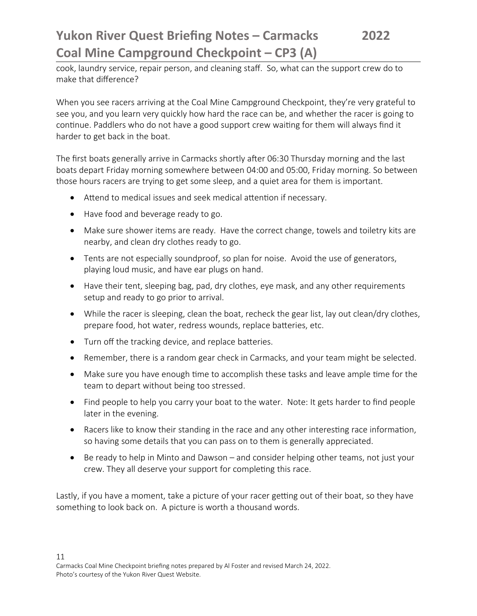cook, laundry service, repair person, and cleaning staff. So, what can the support crew do to make that difference?

When you see racers arriving at the Coal Mine Campground Checkpoint, they're very grateful to see you, and you learn very quickly how hard the race can be, and whether the racer is going to continue. Paddlers who do not have a good support crew waiting for them will always find it harder to get back in the boat.

The first boats generally arrive in Carmacks shortly after 06:30 Thursday morning and the last boats depart Friday morning somewhere between 04:00 and 05:00, Friday morning. So between those hours racers are trying to get some sleep, and a quiet area for them is important.

- Attend to medical issues and seek medical attention if necessary.
- Have food and beverage ready to go.
- Make sure shower items are ready. Have the correct change, towels and toiletry kits are nearby, and clean dry clothes ready to go.
- Tents are not especially soundproof, so plan for noise. Avoid the use of generators, playing loud music, and have ear plugs on hand.
- Have their tent, sleeping bag, pad, dry clothes, eye mask, and any other requirements setup and ready to go prior to arrival.
- While the racer is sleeping, clean the boat, recheck the gear list, lay out clean/dry clothes, prepare food, hot water, redress wounds, replace batteries, etc.
- Turn off the tracking device, and replace batteries.
- Remember, there is a random gear check in Carmacks, and your team might be selected.
- Make sure you have enough time to accomplish these tasks and leave ample time for the team to depart without being too stressed.
- Find people to help you carry your boat to the water. Note: It gets harder to find people later in the evening.
- Racers like to know their standing in the race and any other interesting race information, so having some details that you can pass on to them is generally appreciated.
- Be ready to help in Minto and Dawson and consider helping other teams, not just your crew. They all deserve your support for completing this race.

Lastly, if you have a moment, take a picture of your racer getting out of their boat, so they have something to look back on. A picture is worth a thousand words.